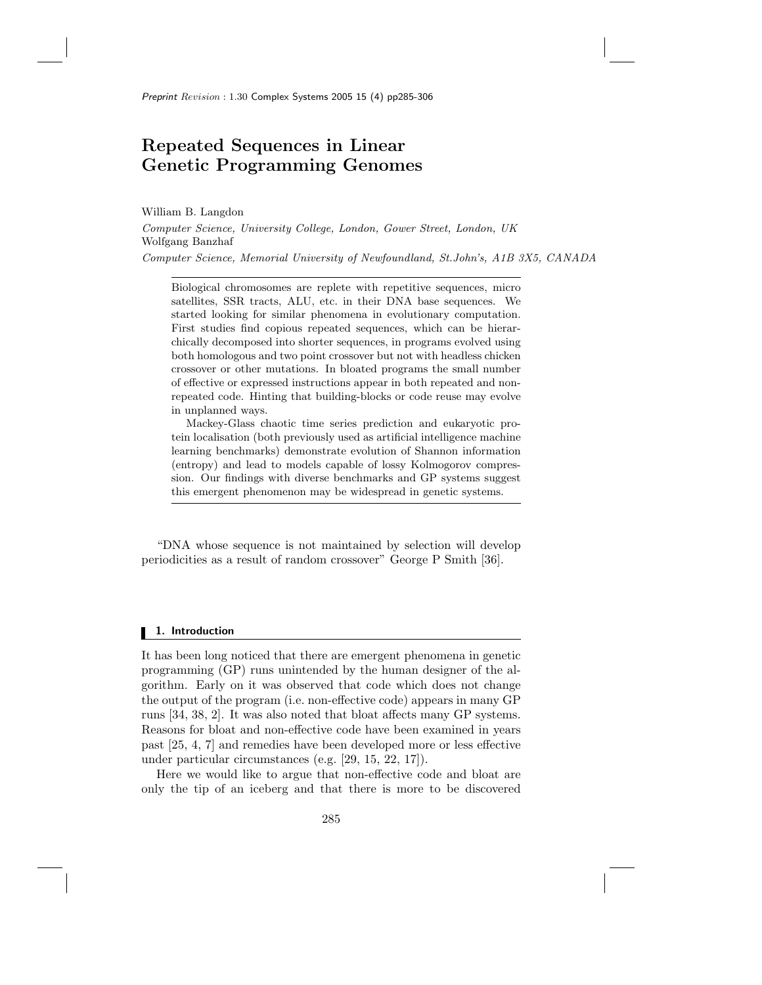# Repeated Sequences in Linear Genetic Programming Genomes

William B. Langdon

Computer Science, University College, London, Gower Street, London, UK Wolfgang Banzhaf Computer Science, Memorial University of Newfoundland, St.John's, A1B 3X5, CANADA

Biological chromosomes are replete with repetitive sequences, micro satellites, SSR tracts, ALU, etc. in their DNA base sequences. We started looking for similar phenomena in evolutionary computation. First studies find copious repeated sequences, which can be hierarchically decomposed into shorter sequences, in programs evolved using both homologous and two point crossover but not with headless chicken crossover or other mutations. In bloated programs the small number of effective or expressed instructions appear in both repeated and nonrepeated code. Hinting that building-blocks or code reuse may evolve in unplanned ways.

Mackey-Glass chaotic time series prediction and eukaryotic protein localisation (both previously used as artificial intelligence machine learning benchmarks) demonstrate evolution of Shannon information (entropy) and lead to models capable of lossy Kolmogorov compression. Our findings with diverse benchmarks and GP systems suggest this emergent phenomenon may be widespread in genetic systems.

"DNA whose sequence is not maintained by selection will develop periodicities as a result of random crossover" George P Smith [36].

### 1. Introduction

It has been long noticed that there are emergent phenomena in genetic programming (GP) runs unintended by the human designer of the algorithm. Early on it was observed that code which does not change the output of the program (i.e. non-effective code) appears in many GP runs [34, 38, 2]. It was also noted that bloat affects many GP systems. Reasons for bloat and non-effective code have been examined in years past [25, 4, 7] and remedies have been developed more or less effective under particular circumstances (e.g. [29, 15, 22, 17]).

Here we would like to argue that non-effective code and bloat are only the tip of an iceberg and that there is more to be discovered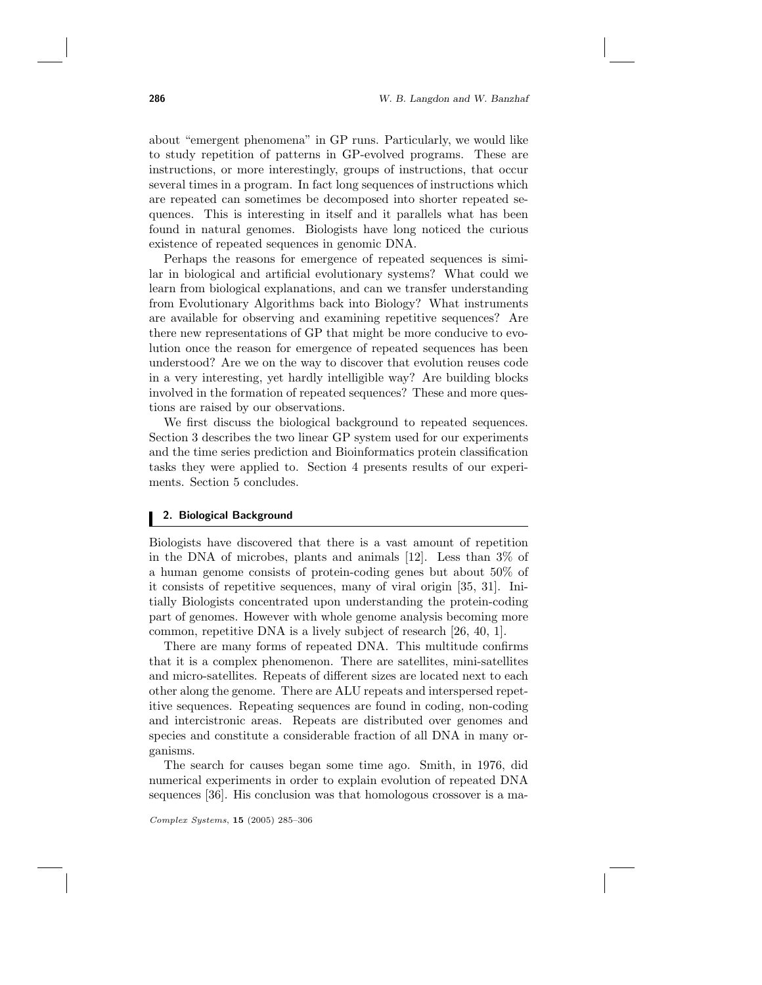about "emergent phenomena" in GP runs. Particularly, we would like to study repetition of patterns in GP-evolved programs. These are instructions, or more interestingly, groups of instructions, that occur several times in a program. In fact long sequences of instructions which are repeated can sometimes be decomposed into shorter repeated sequences. This is interesting in itself and it parallels what has been found in natural genomes. Biologists have long noticed the curious existence of repeated sequences in genomic DNA.

Perhaps the reasons for emergence of repeated sequences is similar in biological and artificial evolutionary systems? What could we learn from biological explanations, and can we transfer understanding from Evolutionary Algorithms back into Biology? What instruments are available for observing and examining repetitive sequences? Are there new representations of GP that might be more conducive to evolution once the reason for emergence of repeated sequences has been understood? Are we on the way to discover that evolution reuses code in a very interesting, yet hardly intelligible way? Are building blocks involved in the formation of repeated sequences? These and more questions are raised by our observations.

We first discuss the biological background to repeated sequences. Section 3 describes the two linear GP system used for our experiments and the time series prediction and Bioinformatics protein classification tasks they were applied to. Section 4 presents results of our experiments. Section 5 concludes.

#### 2. Biological Background

Biologists have discovered that there is a vast amount of repetition in the DNA of microbes, plants and animals [12]. Less than 3% of a human genome consists of protein-coding genes but about 50% of it consists of repetitive sequences, many of viral origin [35, 31]. Initially Biologists concentrated upon understanding the protein-coding part of genomes. However with whole genome analysis becoming more common, repetitive DNA is a lively subject of research [26, 40, 1].

There are many forms of repeated DNA. This multitude confirms that it is a complex phenomenon. There are satellites, mini-satellites and micro-satellites. Repeats of different sizes are located next to each other along the genome. There are ALU repeats and interspersed repetitive sequences. Repeating sequences are found in coding, non-coding and intercistronic areas. Repeats are distributed over genomes and species and constitute a considerable fraction of all DNA in many organisms.

The search for causes began some time ago. Smith, in 1976, did numerical experiments in order to explain evolution of repeated DNA sequences [36]. His conclusion was that homologous crossover is a ma-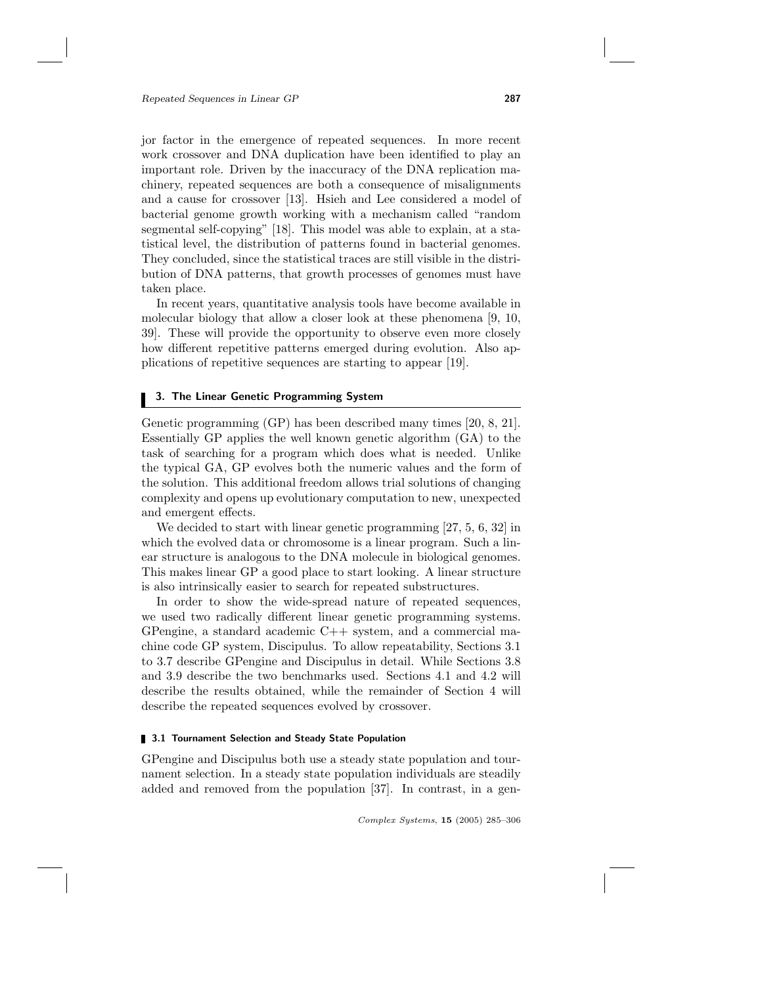jor factor in the emergence of repeated sequences. In more recent work crossover and DNA duplication have been identified to play an important role. Driven by the inaccuracy of the DNA replication machinery, repeated sequences are both a consequence of misalignments and a cause for crossover [13]. Hsieh and Lee considered a model of bacterial genome growth working with a mechanism called "random segmental self-copying" [18]. This model was able to explain, at a statistical level, the distribution of patterns found in bacterial genomes. They concluded, since the statistical traces are still visible in the distribution of DNA patterns, that growth processes of genomes must have taken place.

In recent years, quantitative analysis tools have become available in molecular biology that allow a closer look at these phenomena [9, 10, 39]. These will provide the opportunity to observe even more closely how different repetitive patterns emerged during evolution. Also applications of repetitive sequences are starting to appear [19].

# 3. The Linear Genetic Programming System

Genetic programming (GP) has been described many times [20, 8, 21]. Essentially GP applies the well known genetic algorithm (GA) to the task of searching for a program which does what is needed. Unlike the typical GA, GP evolves both the numeric values and the form of the solution. This additional freedom allows trial solutions of changing complexity and opens up evolutionary computation to new, unexpected and emergent effects.

We decided to start with linear genetic programming [27, 5, 6, 32] in which the evolved data or chromosome is a linear program. Such a linear structure is analogous to the DNA molecule in biological genomes. This makes linear GP a good place to start looking. A linear structure is also intrinsically easier to search for repeated substructures.

In order to show the wide-spread nature of repeated sequences, we used two radically different linear genetic programming systems. GPengine, a standard academic  $C++$  system, and a commercial machine code GP system, Discipulus. To allow repeatability, Sections 3.1 to 3.7 describe GPengine and Discipulus in detail. While Sections 3.8 and 3.9 describe the two benchmarks used. Sections 4.1 and 4.2 will describe the results obtained, while the remainder of Section 4 will describe the repeated sequences evolved by crossover.

#### **3.1 Tournament Selection and Steady State Population**

GPengine and Discipulus both use a steady state population and tournament selection. In a steady state population individuals are steadily added and removed from the population [37]. In contrast, in a gen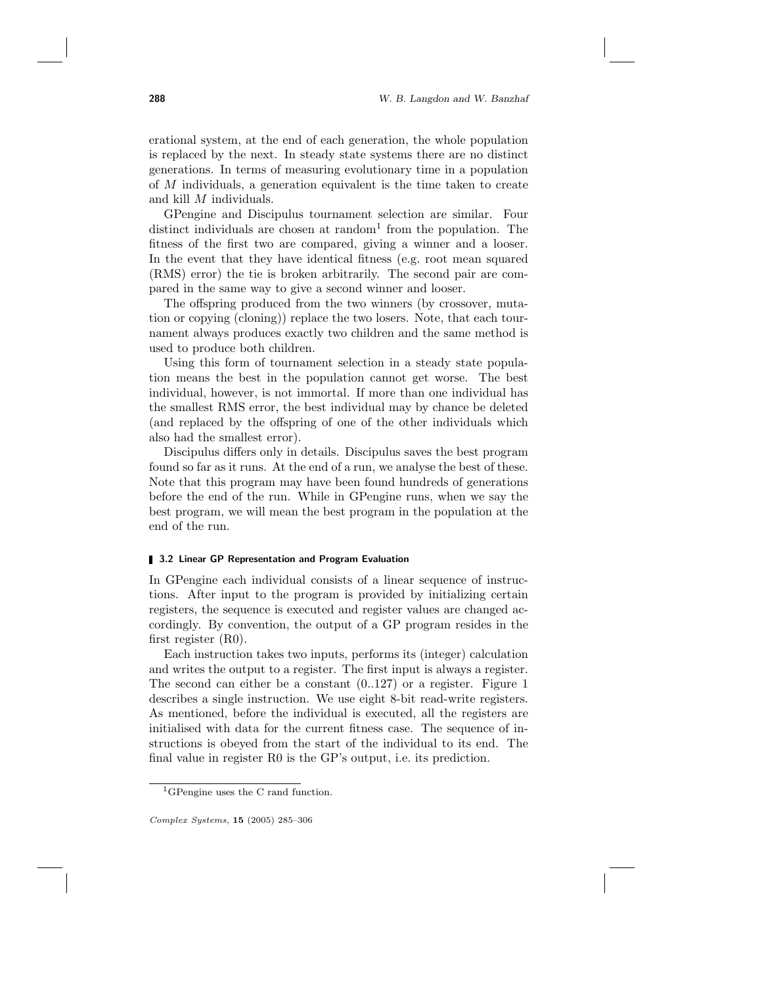erational system, at the end of each generation, the whole population is replaced by the next. In steady state systems there are no distinct generations. In terms of measuring evolutionary time in a population of M individuals, a generation equivalent is the time taken to create and kill M individuals.

GPengine and Discipulus tournament selection are similar. Four distinct individuals are chosen at random<sup>1</sup> from the population. The fitness of the first two are compared, giving a winner and a looser. In the event that they have identical fitness (e.g. root mean squared (RMS) error) the tie is broken arbitrarily. The second pair are compared in the same way to give a second winner and looser.

The offspring produced from the two winners (by crossover, mutation or copying (cloning)) replace the two losers. Note, that each tournament always produces exactly two children and the same method is used to produce both children.

Using this form of tournament selection in a steady state population means the best in the population cannot get worse. The best individual, however, is not immortal. If more than one individual has the smallest RMS error, the best individual may by chance be deleted (and replaced by the offspring of one of the other individuals which also had the smallest error).

Discipulus differs only in details. Discipulus saves the best program found so far as it runs. At the end of a run, we analyse the best of these. Note that this program may have been found hundreds of generations before the end of the run. While in GPengine runs, when we say the best program, we will mean the best program in the population at the end of the run.

#### **3.2 Linear GP Representation and Program Evaluation**

In GPengine each individual consists of a linear sequence of instructions. After input to the program is provided by initializing certain registers, the sequence is executed and register values are changed accordingly. By convention, the output of a GP program resides in the first register (R0).

Each instruction takes two inputs, performs its (integer) calculation and writes the output to a register. The first input is always a register. The second can either be a constant (0..127) or a register. Figure 1 describes a single instruction. We use eight 8-bit read-write registers. As mentioned, before the individual is executed, all the registers are initialised with data for the current fitness case. The sequence of instructions is obeyed from the start of the individual to its end. The final value in register R0 is the GP's output, i.e. its prediction.

<sup>1</sup>GPengine uses the C rand function.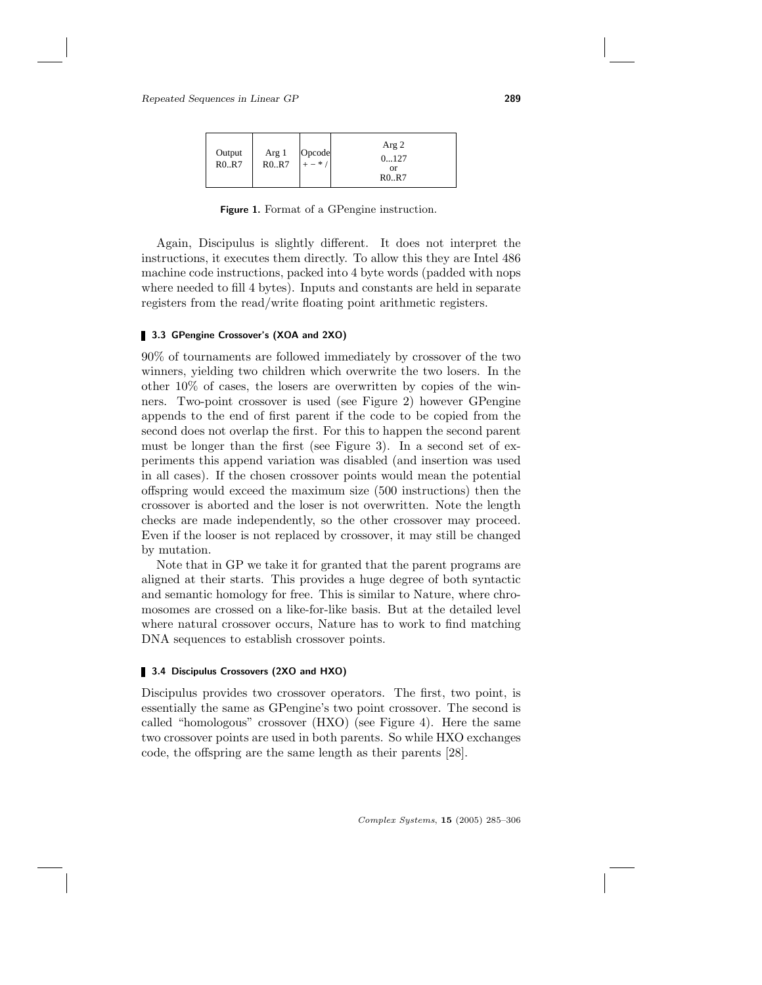| Output<br>R0.R7 | Arg 1<br>R0. R7 | Opcode<br>$+ -$ * / | Arg 2<br>0127<br><b>or</b><br>R0.R7 |
|-----------------|-----------------|---------------------|-------------------------------------|
|-----------------|-----------------|---------------------|-------------------------------------|

Figure 1. Format of a GPengine instruction.

Again, Discipulus is slightly different. It does not interpret the instructions, it executes them directly. To allow this they are Intel 486 machine code instructions, packed into 4 byte words (padded with nops where needed to fill 4 bytes). Inputs and constants are held in separate registers from the read/write floating point arithmetic registers.

# 3.3 GPengine Crossover's (XOA and 2XO)

90% of tournaments are followed immediately by crossover of the two winners, yielding two children which overwrite the two losers. In the other 10% of cases, the losers are overwritten by copies of the winners. Two-point crossover is used (see Figure 2) however GPengine appends to the end of first parent if the code to be copied from the second does not overlap the first. For this to happen the second parent must be longer than the first (see Figure 3). In a second set of experiments this append variation was disabled (and insertion was used in all cases). If the chosen crossover points would mean the potential offspring would exceed the maximum size (500 instructions) then the crossover is aborted and the loser is not overwritten. Note the length checks are made independently, so the other crossover may proceed. Even if the looser is not replaced by crossover, it may still be changed by mutation.

Note that in GP we take it for granted that the parent programs are aligned at their starts. This provides a huge degree of both syntactic and semantic homology for free. This is similar to Nature, where chromosomes are crossed on a like-for-like basis. But at the detailed level where natural crossover occurs, Nature has to work to find matching DNA sequences to establish crossover points.

# 3.4 Discipulus Crossovers (2XO and HXO)

Discipulus provides two crossover operators. The first, two point, is essentially the same as GPengine's two point crossover. The second is called "homologous" crossover (HXO) (see Figure 4). Here the same two crossover points are used in both parents. So while HXO exchanges code, the offspring are the same length as their parents [28].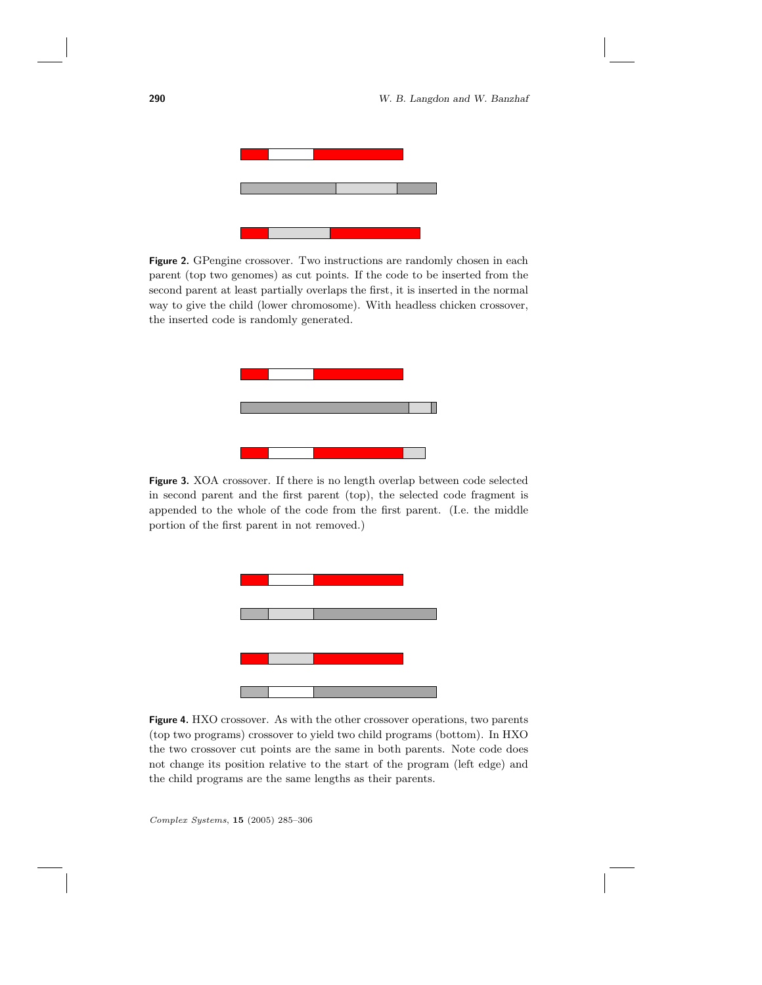

Figure 2. GPengine crossover. Two instructions are randomly chosen in each parent (top two genomes) as cut points. If the code to be inserted from the second parent at least partially overlaps the first, it is inserted in the normal way to give the child (lower chromosome). With headless chicken crossover, the inserted code is randomly generated.



Figure 3. XOA crossover. If there is no length overlap between code selected in second parent and the first parent (top), the selected code fragment is appended to the whole of the code from the first parent. (I.e. the middle portion of the first parent in not removed.)



Figure 4. HXO crossover. As with the other crossover operations, two parents (top two programs) crossover to yield two child programs (bottom). In HXO the two crossover cut points are the same in both parents. Note code does not change its position relative to the start of the program (left edge) and the child programs are the same lengths as their parents.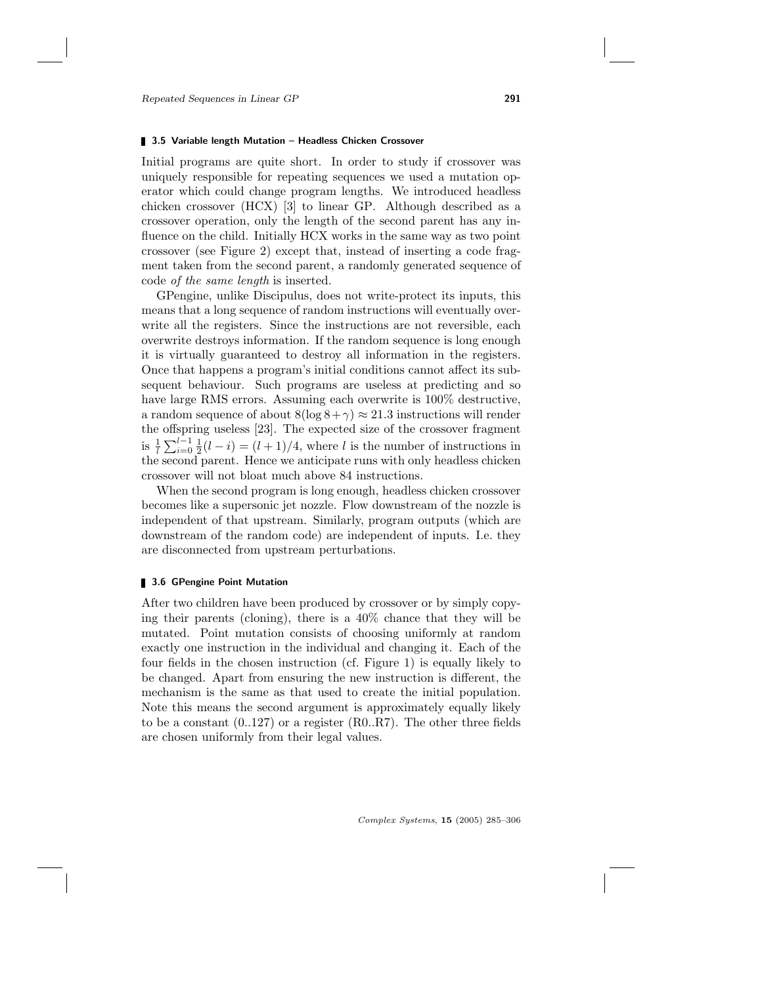#### **3.5 Variable length Mutation - Headless Chicken Crossover**

Initial programs are quite short. In order to study if crossover was uniquely responsible for repeating sequences we used a mutation operator which could change program lengths. We introduced headless chicken crossover (HCX) [3] to linear GP. Although described as a crossover operation, only the length of the second parent has any influence on the child. Initially HCX works in the same way as two point crossover (see Figure 2) except that, instead of inserting a code fragment taken from the second parent, a randomly generated sequence of code of the same length is inserted.

GPengine, unlike Discipulus, does not write-protect its inputs, this means that a long sequence of random instructions will eventually overwrite all the registers. Since the instructions are not reversible, each overwrite destroys information. If the random sequence is long enough it is virtually guaranteed to destroy all information in the registers. Once that happens a program's initial conditions cannot affect its subsequent behaviour. Such programs are useless at predicting and so have large RMS errors. Assuming each overwrite is 100% destructive, a random sequence of about  $8(\log 8 + \gamma) \approx 21.3$  instructions will render the offspring useless [23]. The expected size of the crossover fragment is  $\frac{1}{l} \sum_{i=0}^{l-1} \frac{1}{2}(l-i) = (l+1)/4$ , where l is the number of instructions in the second parent. Hence we anticipate runs with only headless chicken crossover will not bloat much above 84 instructions.

When the second program is long enough, headless chicken crossover becomes like a supersonic jet nozzle. Flow downstream of the nozzle is independent of that upstream. Similarly, program outputs (which are downstream of the random code) are independent of inputs. I.e. they are disconnected from upstream perturbations.

#### 3.6 GPengine Point Mutation

After two children have been produced by crossover or by simply copying their parents (cloning), there is a 40% chance that they will be mutated. Point mutation consists of choosing uniformly at random exactly one instruction in the individual and changing it. Each of the four fields in the chosen instruction (cf. Figure 1) is equally likely to be changed. Apart from ensuring the new instruction is different, the mechanism is the same as that used to create the initial population. Note this means the second argument is approximately equally likely to be a constant  $(0.127)$  or a register  $(R0..R7)$ . The other three fields are chosen uniformly from their legal values.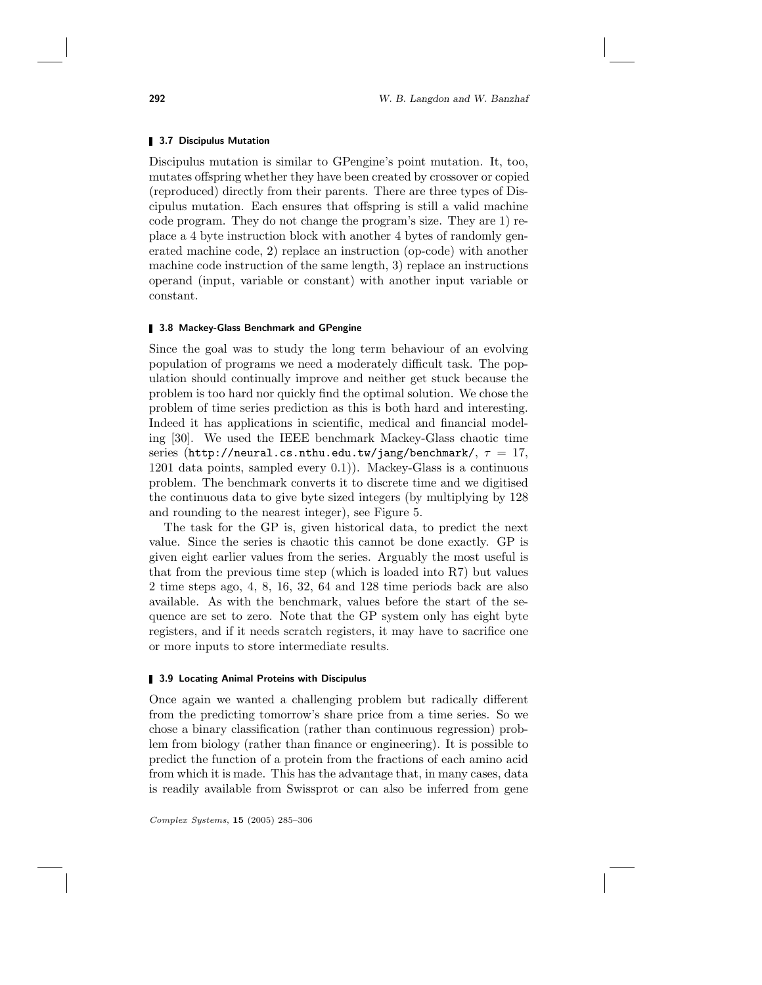#### **3.7 Discipulus Mutation**

Discipulus mutation is similar to GPengine's point mutation. It, too, mutates offspring whether they have been created by crossover or copied (reproduced) directly from their parents. There are three types of Discipulus mutation. Each ensures that offspring is still a valid machine code program. They do not change the program's size. They are 1) replace a 4 byte instruction block with another 4 bytes of randomly generated machine code, 2) replace an instruction (op-code) with another machine code instruction of the same length, 3) replace an instructions operand (input, variable or constant) with another input variable or constant.

#### **3.8 Mackey-Glass Benchmark and GPengine**

Since the goal was to study the long term behaviour of an evolving population of programs we need a moderately difficult task. The population should continually improve and neither get stuck because the problem is too hard nor quickly find the optimal solution. We chose the problem of time series prediction as this is both hard and interesting. Indeed it has applications in scientific, medical and financial modeling [30]. We used the IEEE benchmark Mackey-Glass chaotic time series (http://neural.cs.nthu.edu.tw/jang/benchmark/,  $\tau = 17$ , 1201 data points, sampled every 0.1)). Mackey-Glass is a continuous problem. The benchmark converts it to discrete time and we digitised the continuous data to give byte sized integers (by multiplying by 128 and rounding to the nearest integer), see Figure 5.

The task for the GP is, given historical data, to predict the next value. Since the series is chaotic this cannot be done exactly. GP is given eight earlier values from the series. Arguably the most useful is that from the previous time step (which is loaded into R7) but values 2 time steps ago, 4, 8, 16, 32, 64 and 128 time periods back are also available. As with the benchmark, values before the start of the sequence are set to zero. Note that the GP system only has eight byte registers, and if it needs scratch registers, it may have to sacrifice one or more inputs to store intermediate results.

#### **3.9 Locating Animal Proteins with Discipulus**

Once again we wanted a challenging problem but radically different from the predicting tomorrow's share price from a time series. So we chose a binary classification (rather than continuous regression) problem from biology (rather than finance or engineering). It is possible to predict the function of a protein from the fractions of each amino acid from which it is made. This has the advantage that, in many cases, data is readily available from Swissprot or can also be inferred from gene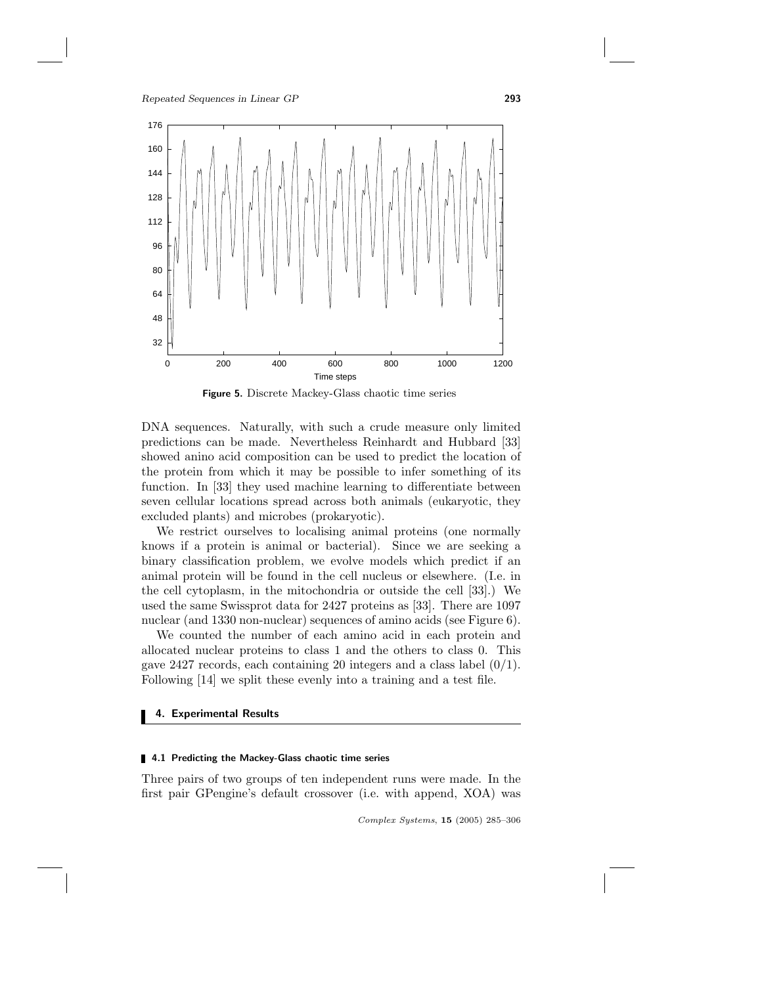

Figure 5. Discrete Mackey-Glass chaotic time series

DNA sequences. Naturally, with such a crude measure only limited predictions can be made. Nevertheless Reinhardt and Hubbard [33] showed anino acid composition can be used to predict the location of the protein from which it may be possible to infer something of its function. In [33] they used machine learning to differentiate between seven cellular locations spread across both animals (eukaryotic, they excluded plants) and microbes (prokaryotic).

We restrict ourselves to localising animal proteins (one normally knows if a protein is animal or bacterial). Since we are seeking a binary classification problem, we evolve models which predict if an animal protein will be found in the cell nucleus or elsewhere. (I.e. in the cell cytoplasm, in the mitochondria or outside the cell [33].) We used the same Swissprot data for 2427 proteins as [33]. There are 1097 nuclear (and 1330 non-nuclear) sequences of amino acids (see Figure 6).

We counted the number of each amino acid in each protein and allocated nuclear proteins to class 1 and the others to class 0. This gave 2427 records, each containing 20 integers and a class label  $(0/1)$ . Following [14] we split these evenly into a training and a test file.

# 4. Experimental Results

#### **4.1 Predicting the Mackey-Glass chaotic time series**

Three pairs of two groups of ten independent runs were made. In the first pair GPengine's default crossover (i.e. with append, XOA) was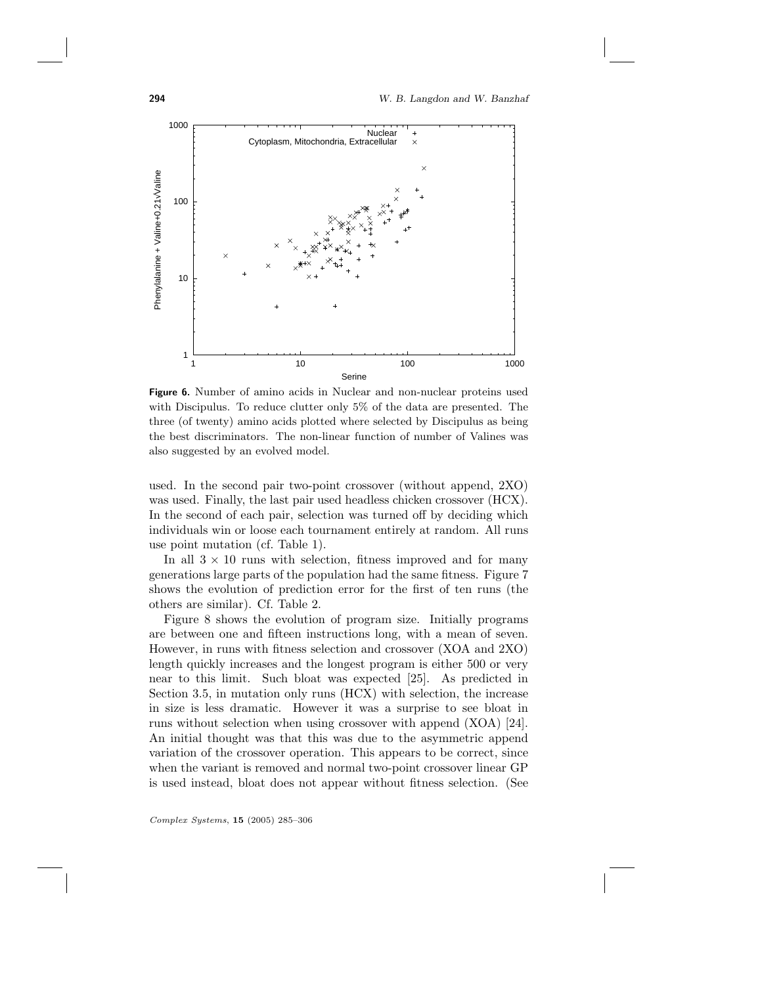294 W. B. Langdon and W. Banzhaf



Figure 6. Number of amino acids in Nuclear and non-nuclear proteins used with Discipulus. To reduce clutter only 5% of the data are presented. The three (of twenty) amino acids plotted where selected by Discipulus as being the best discriminators. The non-linear function of number of Valines was also suggested by an evolved model.

used. In the second pair two-point crossover (without append, 2XO) was used. Finally, the last pair used headless chicken crossover (HCX). In the second of each pair, selection was turned off by deciding which individuals win or loose each tournament entirely at random. All runs use point mutation (cf. Table 1).

In all  $3 \times 10$  runs with selection, fitness improved and for many generations large parts of the population had the same fitness. Figure 7 shows the evolution of prediction error for the first of ten runs (the others are similar). Cf. Table 2.

Figure 8 shows the evolution of program size. Initially programs are between one and fifteen instructions long, with a mean of seven. However, in runs with fitness selection and crossover (XOA and 2XO) length quickly increases and the longest program is either 500 or very near to this limit. Such bloat was expected [25]. As predicted in Section 3.5, in mutation only runs (HCX) with selection, the increase in size is less dramatic. However it was a surprise to see bloat in runs without selection when using crossover with append (XOA) [24]. An initial thought was that this was due to the asymmetric append variation of the crossover operation. This appears to be correct, since when the variant is removed and normal two-point crossover linear GP is used instead, bloat does not appear without fitness selection. (See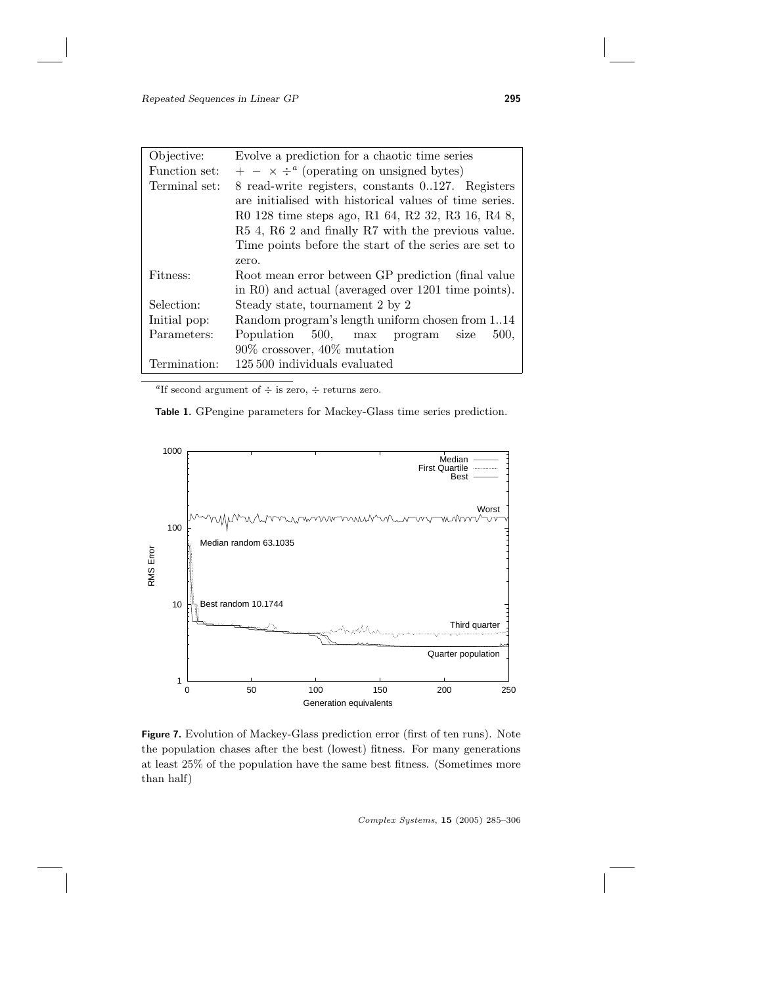| Objective:    | Evolve a prediction for a chaotic time series          |  |  |  |  |  |  |  |  |  |  |
|---------------|--------------------------------------------------------|--|--|--|--|--|--|--|--|--|--|
| Function set: | $+ - \times \div^a$ (operating on unsigned bytes)      |  |  |  |  |  |  |  |  |  |  |
| Terminal set: | 8 read-write registers, constants 0127. Registers      |  |  |  |  |  |  |  |  |  |  |
|               | are initialised with historical values of time series. |  |  |  |  |  |  |  |  |  |  |
|               | R0 128 time steps ago, R1 64, R2 32, R3 16, R4 8,      |  |  |  |  |  |  |  |  |  |  |
|               | R5 4, R6 2 and finally R7 with the previous value.     |  |  |  |  |  |  |  |  |  |  |
|               | Time points before the start of the series are set to  |  |  |  |  |  |  |  |  |  |  |
|               | zero.                                                  |  |  |  |  |  |  |  |  |  |  |
| Fitness:      | Root mean error between GP prediction (final value)    |  |  |  |  |  |  |  |  |  |  |
|               | in R0) and actual (averaged over 1201 time points).    |  |  |  |  |  |  |  |  |  |  |
| Selection:    | Steady state, tournament 2 by 2                        |  |  |  |  |  |  |  |  |  |  |
| Initial pop:  | Random program's length uniform chosen from 114        |  |  |  |  |  |  |  |  |  |  |
| Parameters:   | Population 500, max program<br>500,<br>size            |  |  |  |  |  |  |  |  |  |  |
|               | $90\%$ crossover, $40\%$ mutation                      |  |  |  |  |  |  |  |  |  |  |
| Termination:  | 125,500 individuals evaluated                          |  |  |  |  |  |  |  |  |  |  |

<sup>a</sup>If second argument of  $\div$  is zero,  $\div$  returns zero.

Table 1. GPengine parameters for Mackey-Glass time series prediction.



Figure 7. Evolution of Mackey-Glass prediction error (first of ten runs). Note the population chases after the best (lowest) fitness. For many generations at least 25% of the population have the same best fitness. (Sometimes more than half)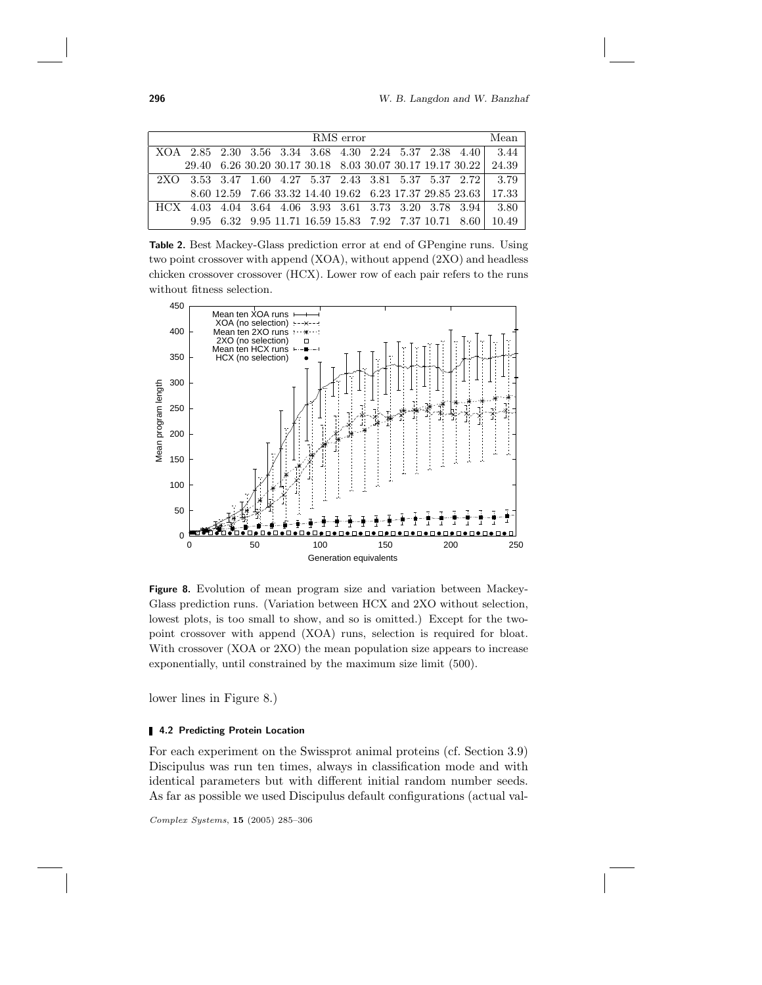296 M. B. Langdon and W. Banzhaf

| RMS error |  |  |  |  |  |  |  |  |  | Mean                                                  |                                                                 |
|-----------|--|--|--|--|--|--|--|--|--|-------------------------------------------------------|-----------------------------------------------------------------|
|           |  |  |  |  |  |  |  |  |  |                                                       | XOA 2.85 2.30 3.56 3.34 3.68 4.30 2.24 5.37 2.38 4.40 3.44      |
|           |  |  |  |  |  |  |  |  |  |                                                       | 29.40 6.26 30.20 30.17 30.18 8.03 30.07 30.17 19.17 30.22 24.39 |
|           |  |  |  |  |  |  |  |  |  |                                                       | 2XO 3.53 3.47 1.60 4.27 5.37 2.43 3.81 5.37 5.37 2.72 3.79      |
|           |  |  |  |  |  |  |  |  |  |                                                       | 8.60 12.59 7.66 33.32 14.40 19.62 6.23 17.37 29.85 23.63 17.33  |
| HCX -     |  |  |  |  |  |  |  |  |  | 4.03 4.04 3.64 4.06 3.93 3.61 3.73 3.20 3.78 3.94     | 3.80                                                            |
|           |  |  |  |  |  |  |  |  |  | 9.95 6.32 9.95 11.71 16.59 15.83 7.92 7.37 10.71 8.60 | 10.49                                                           |

Table 2. Best Mackey-Glass prediction error at end of GPengine runs. Using two point crossover with append (XOA), without append (2XO) and headless chicken crossover crossover (HCX). Lower row of each pair refers to the runs without fitness selection.



Figure 8. Evolution of mean program size and variation between Mackey-Glass prediction runs. (Variation between HCX and 2XO without selection, lowest plots, is too small to show, and so is omitted.) Except for the twopoint crossover with append (XOA) runs, selection is required for bloat. With crossover (XOA or 2XO) the mean population size appears to increase exponentially, until constrained by the maximum size limit (500).

lower lines in Figure 8.)

# 4.2 Predicting Protein Location

For each experiment on the Swissprot animal proteins (cf. Section 3.9) Discipulus was run ten times, always in classification mode and with identical parameters but with different initial random number seeds. As far as possible we used Discipulus default configurations (actual val-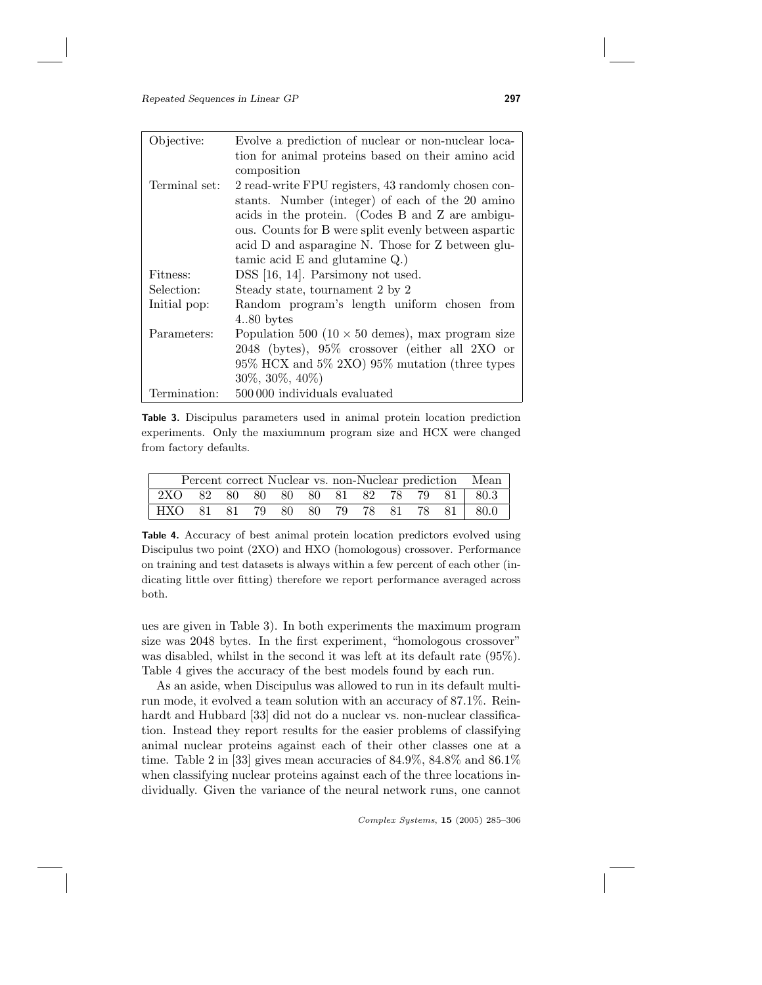| Objective:    | Evolve a prediction of nuclear or non-nuclear loca-     |  |  |  |  |  |  |
|---------------|---------------------------------------------------------|--|--|--|--|--|--|
|               | tion for animal proteins based on their amino acid      |  |  |  |  |  |  |
|               | composition                                             |  |  |  |  |  |  |
| Terminal set: | 2 read-write FPU registers, 43 randomly chosen con-     |  |  |  |  |  |  |
|               | stants. Number (integer) of each of the 20 amino        |  |  |  |  |  |  |
|               | acids in the protein. (Codes B and Z are ambigu-        |  |  |  |  |  |  |
|               | ous. Counts for B were split evenly between aspartic    |  |  |  |  |  |  |
|               | acid D and asparagine N. Those for Z between glu-       |  |  |  |  |  |  |
|               | tamic acid $E$ and glutamine $Q$ .)                     |  |  |  |  |  |  |
| Fitness:      | DSS [16, 14]. Parsimony not used.                       |  |  |  |  |  |  |
| Selection:    | Steady state, tournament 2 by 2                         |  |  |  |  |  |  |
| Initial pop:  | Random program's length uniform chosen from             |  |  |  |  |  |  |
|               | $4.80 \text{ bytes}$                                    |  |  |  |  |  |  |
| Parameters:   | Population 500 (10 $\times$ 50 demes), max program size |  |  |  |  |  |  |
|               | 2048 (bytes), 95% crossover (either all 2XO or          |  |  |  |  |  |  |
|               | 95% HCX and 5% 2XO) 95% mutation (three types           |  |  |  |  |  |  |
|               | $30\%, 30\%, 40\%$                                      |  |  |  |  |  |  |
| Termination:  | 500000 individuals evaluated                            |  |  |  |  |  |  |

Table 3. Discipulus parameters used in animal protein location prediction experiments. Only the maxiumnum program size and HCX were changed from factory defaults.

| Percent correct Nuclear vs. non-Nuclear prediction Mean |  |  |  |  |  |  |  |  |  |  |                                        |
|---------------------------------------------------------|--|--|--|--|--|--|--|--|--|--|----------------------------------------|
|                                                         |  |  |  |  |  |  |  |  |  |  | 2XO 82 80 80 80 80 81 82 78 79 81 80.3 |
|                                                         |  |  |  |  |  |  |  |  |  |  | HXO 81 81 79 80 80 79 78 81 78 81 80.0 |

Table 4. Accuracy of best animal protein location predictors evolved using Discipulus two point (2XO) and HXO (homologous) crossover. Performance on training and test datasets is always within a few percent of each other (indicating little over fitting) therefore we report performance averaged across both.

ues are given in Table 3). In both experiments the maximum program size was 2048 bytes. In the first experiment, "homologous crossover" was disabled, whilst in the second it was left at its default rate (95%). Table 4 gives the accuracy of the best models found by each run.

As an aside, when Discipulus was allowed to run in its default multirun mode, it evolved a team solution with an accuracy of 87.1%. Reinhardt and Hubbard [33] did not do a nuclear vs. non-nuclear classification. Instead they report results for the easier problems of classifying animal nuclear proteins against each of their other classes one at a time. Table 2 in [33] gives mean accuracies of 84.9%, 84.8% and 86.1% when classifying nuclear proteins against each of the three locations individually. Given the variance of the neural network runs, one cannot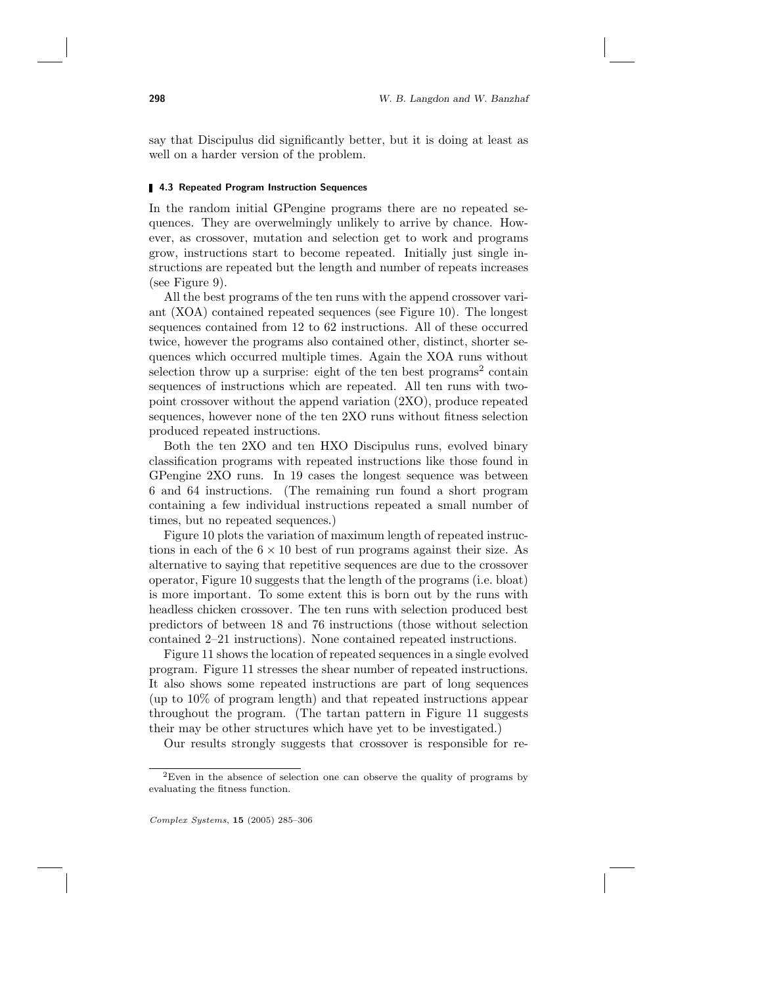say that Discipulus did significantly better, but it is doing at least as well on a harder version of the problem.

#### **4.3 Repeated Program Instruction Sequences**

In the random initial GPengine programs there are no repeated sequences. They are overwelmingly unlikely to arrive by chance. However, as crossover, mutation and selection get to work and programs grow, instructions start to become repeated. Initially just single instructions are repeated but the length and number of repeats increases (see Figure 9).

All the best programs of the ten runs with the append crossover variant (XOA) contained repeated sequences (see Figure 10). The longest sequences contained from 12 to 62 instructions. All of these occurred twice, however the programs also contained other, distinct, shorter sequences which occurred multiple times. Again the XOA runs without selection throw up a surprise: eight of the ten best programs<sup>2</sup> contain sequences of instructions which are repeated. All ten runs with twopoint crossover without the append variation (2XO), produce repeated sequences, however none of the ten 2XO runs without fitness selection produced repeated instructions.

Both the ten 2XO and ten HXO Discipulus runs, evolved binary classification programs with repeated instructions like those found in GPengine 2XO runs. In 19 cases the longest sequence was between 6 and 64 instructions. (The remaining run found a short program containing a few individual instructions repeated a small number of times, but no repeated sequences.)

Figure 10 plots the variation of maximum length of repeated instructions in each of the  $6 \times 10$  best of run programs against their size. As alternative to saying that repetitive sequences are due to the crossover operator, Figure 10 suggests that the length of the programs (i.e. bloat) is more important. To some extent this is born out by the runs with headless chicken crossover. The ten runs with selection produced best predictors of between 18 and 76 instructions (those without selection contained 2–21 instructions). None contained repeated instructions.

Figure 11 shows the location of repeated sequences in a single evolved program. Figure 11 stresses the shear number of repeated instructions. It also shows some repeated instructions are part of long sequences (up to 10% of program length) and that repeated instructions appear throughout the program. (The tartan pattern in Figure 11 suggests their may be other structures which have yet to be investigated.)

Our results strongly suggests that crossover is responsible for re-

<sup>2</sup>Even in the absence of selection one can observe the quality of programs by evaluating the fitness function.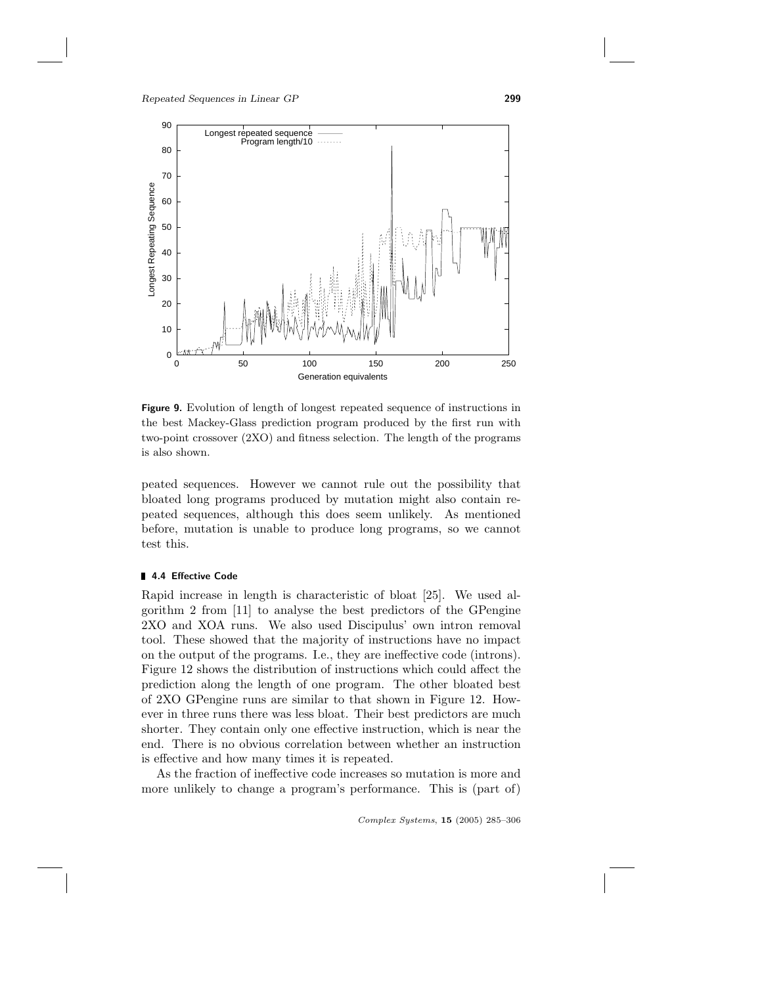

Figure 9. Evolution of length of longest repeated sequence of instructions in the best Mackey-Glass prediction program produced by the first run with two-point crossover (2XO) and fitness selection. The length of the programs is also shown.

peated sequences. However we cannot rule out the possibility that bloated long programs produced by mutation might also contain repeated sequences, although this does seem unlikely. As mentioned before, mutation is unable to produce long programs, so we cannot test this.

# 4.4 Effective Code

Rapid increase in length is characteristic of bloat [25]. We used algorithm 2 from [11] to analyse the best predictors of the GPengine 2XO and XOA runs. We also used Discipulus' own intron removal tool. These showed that the majority of instructions have no impact on the output of the programs. I.e., they are ineffective code (introns). Figure 12 shows the distribution of instructions which could affect the prediction along the length of one program. The other bloated best of 2XO GPengine runs are similar to that shown in Figure 12. However in three runs there was less bloat. Their best predictors are much shorter. They contain only one effective instruction, which is near the end. There is no obvious correlation between whether an instruction is effective and how many times it is repeated.

As the fraction of ineffective code increases so mutation is more and more unlikely to change a program's performance. This is (part of)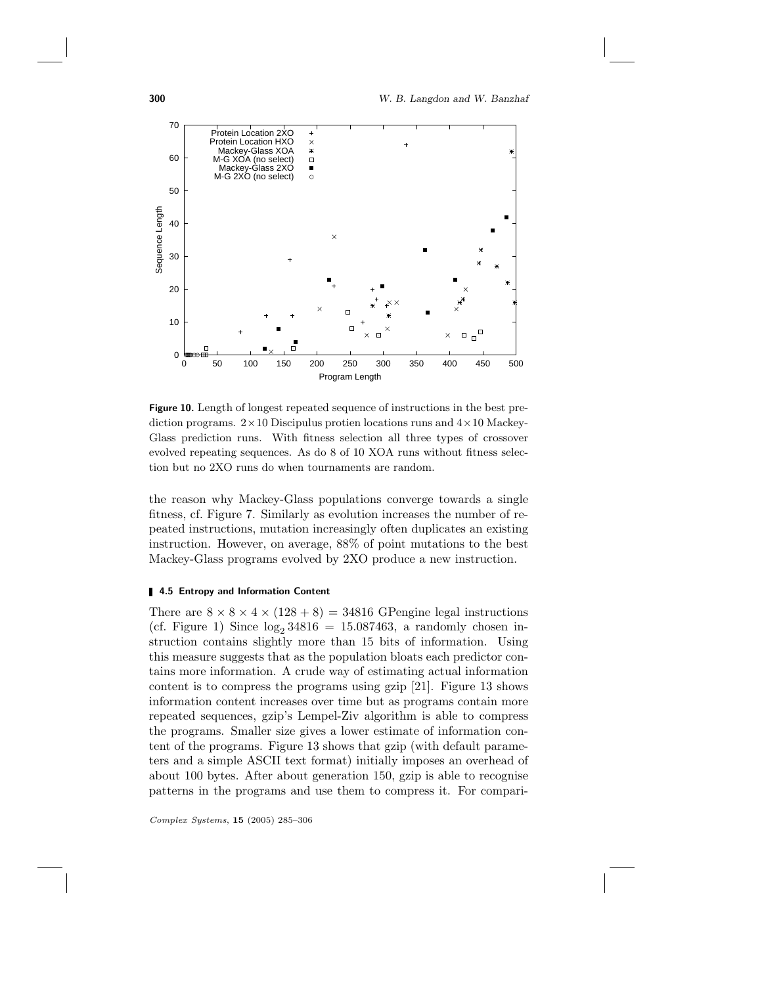

Figure 10. Length of longest repeated sequence of instructions in the best prediction programs.  $2 \times 10$  Discipulus protien locations runs and  $4 \times 10$  Mackey-Glass prediction runs. With fitness selection all three types of crossover evolved repeating sequences. As do 8 of 10 XOA runs without fitness selection but no 2XO runs do when tournaments are random.

the reason why Mackey-Glass populations converge towards a single fitness, cf. Figure 7. Similarly as evolution increases the number of repeated instructions, mutation increasingly often duplicates an existing instruction. However, on average, 88% of point mutations to the best Mackey-Glass programs evolved by 2XO produce a new instruction.

#### **4.5 Entropy and Information Content**

There are  $8 \times 8 \times 4 \times (128 + 8) = 34816$  GPengine legal instructions (cf. Figure 1) Since  $log_2 34816 = 15.087463$ , a randomly chosen instruction contains slightly more than 15 bits of information. Using this measure suggests that as the population bloats each predictor contains more information. A crude way of estimating actual information content is to compress the programs using gzip [21]. Figure 13 shows information content increases over time but as programs contain more repeated sequences, gzip's Lempel-Ziv algorithm is able to compress the programs. Smaller size gives a lower estimate of information content of the programs. Figure 13 shows that gzip (with default parameters and a simple ASCII text format) initially imposes an overhead of about 100 bytes. After about generation 150, gzip is able to recognise patterns in the programs and use them to compress it. For compari-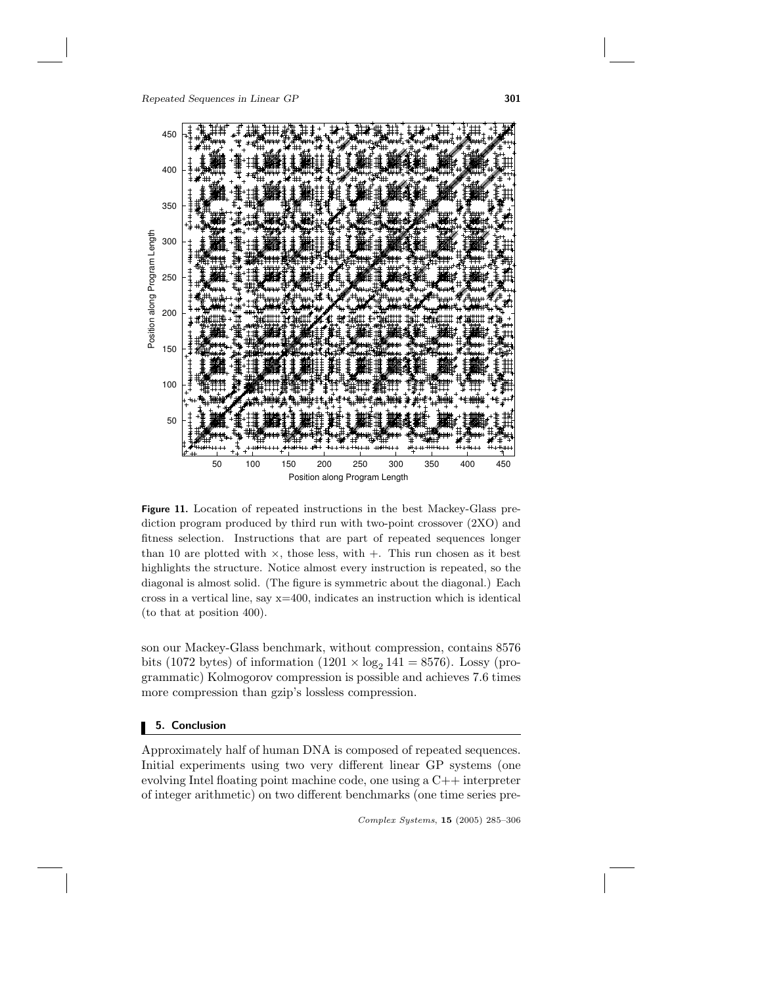

Figure 11. Location of repeated instructions in the best Mackey-Glass prediction program produced by third run with two-point crossover (2XO) and fitness selection. Instructions that are part of repeated sequences longer than 10 are plotted with  $\times$ , those less, with  $+$ . This run chosen as it best highlights the structure. Notice almost every instruction is repeated, so the diagonal is almost solid. (The figure is symmetric about the diagonal.) Each cross in a vertical line, say  $x=400$ , indicates an instruction which is identical (to that at position 400).

son our Mackey-Glass benchmark, without compression, contains 8576 bits (1072 bytes) of information (1201  $\times$  log<sub>2</sub> 141 = 8576). Lossy (programmatic) Kolmogorov compression is possible and achieves 7.6 times more compression than gzip's lossless compression.

# 5. Conclusion

Approximately half of human DNA is composed of repeated sequences. Initial experiments using two very different linear GP systems (one evolving Intel floating point machine code, one using a C++ interpreter of integer arithmetic) on two different benchmarks (one time series pre-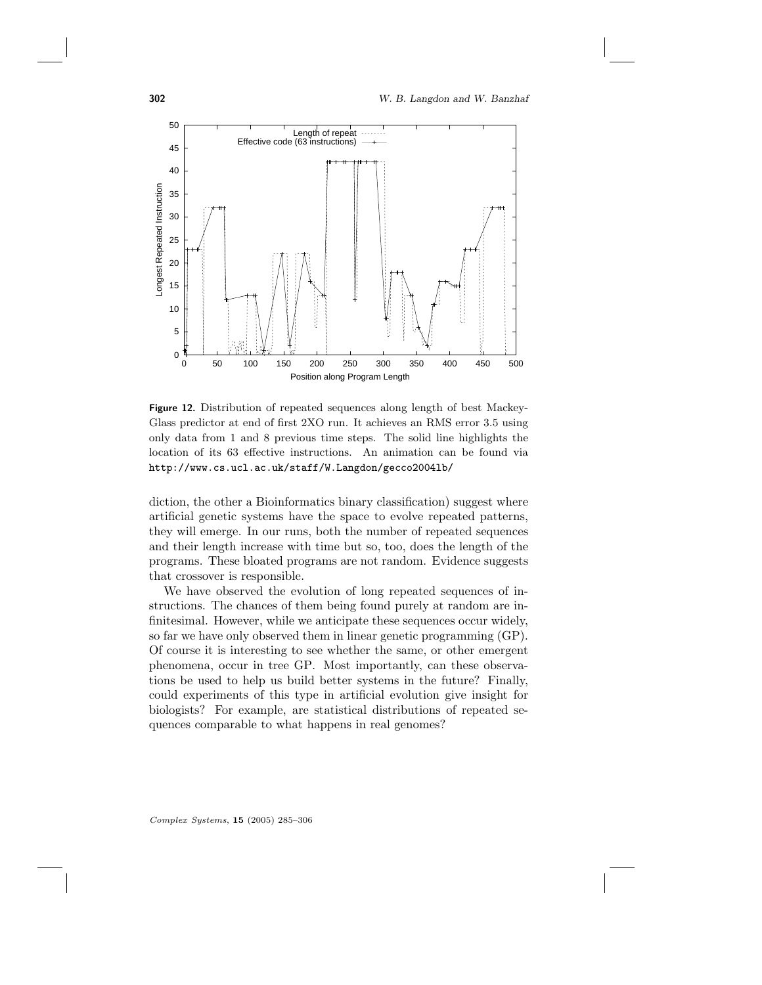

Figure 12. Distribution of repeated sequences along length of best Mackey-Glass predictor at end of first 2XO run. It achieves an RMS error 3.5 using only data from 1 and 8 previous time steps. The solid line highlights the location of its 63 effective instructions. An animation can be found via http://www.cs.ucl.ac.uk/staff/W.Langdon/gecco2004lb/

diction, the other a Bioinformatics binary classification) suggest where artificial genetic systems have the space to evolve repeated patterns, they will emerge. In our runs, both the number of repeated sequences and their length increase with time but so, too, does the length of the programs. These bloated programs are not random. Evidence suggests that crossover is responsible.

We have observed the evolution of long repeated sequences of instructions. The chances of them being found purely at random are infinitesimal. However, while we anticipate these sequences occur widely, so far we have only observed them in linear genetic programming (GP). Of course it is interesting to see whether the same, or other emergent phenomena, occur in tree GP. Most importantly, can these observations be used to help us build better systems in the future? Finally, could experiments of this type in artificial evolution give insight for biologists? For example, are statistical distributions of repeated sequences comparable to what happens in real genomes?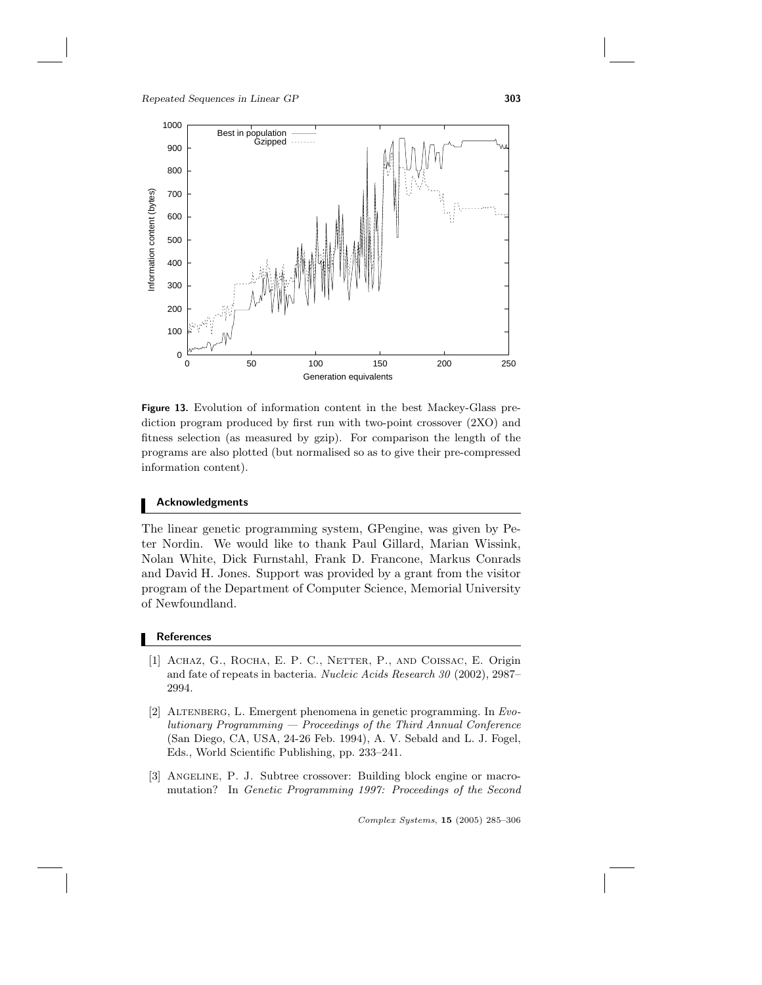

Figure 13. Evolution of information content in the best Mackey-Glass prediction program produced by first run with two-point crossover (2XO) and fitness selection (as measured by gzip). For comparison the length of the programs are also plotted (but normalised so as to give their pre-compressed information content).

# Acknowledgments

The linear genetic programming system, GPengine, was given by Peter Nordin. We would like to thank Paul Gillard, Marian Wissink, Nolan White, Dick Furnstahl, Frank D. Francone, Markus Conrads and David H. Jones. Support was provided by a grant from the visitor program of the Department of Computer Science, Memorial University of Newfoundland.

# **References**

- [1] ACHAZ, G., ROCHA, E. P. C., NETTER, P., AND COISSAC, E. Origin and fate of repeats in bacteria. Nucleic Acids Research 30 (2002), 2987– 2994.
- [2] ALTENBERG, L. Emergent phenomena in genetic programming. In  $Evo$ lutionary Programming — Proceedings of the Third Annual Conference (San Diego, CA, USA, 24-26 Feb. 1994), A. V. Sebald and L. J. Fogel, Eds., World Scientific Publishing, pp. 233–241.
- [3] ANGELINE, P. J. Subtree crossover: Building block engine or macromutation? In Genetic Programming 1997: Proceedings of the Second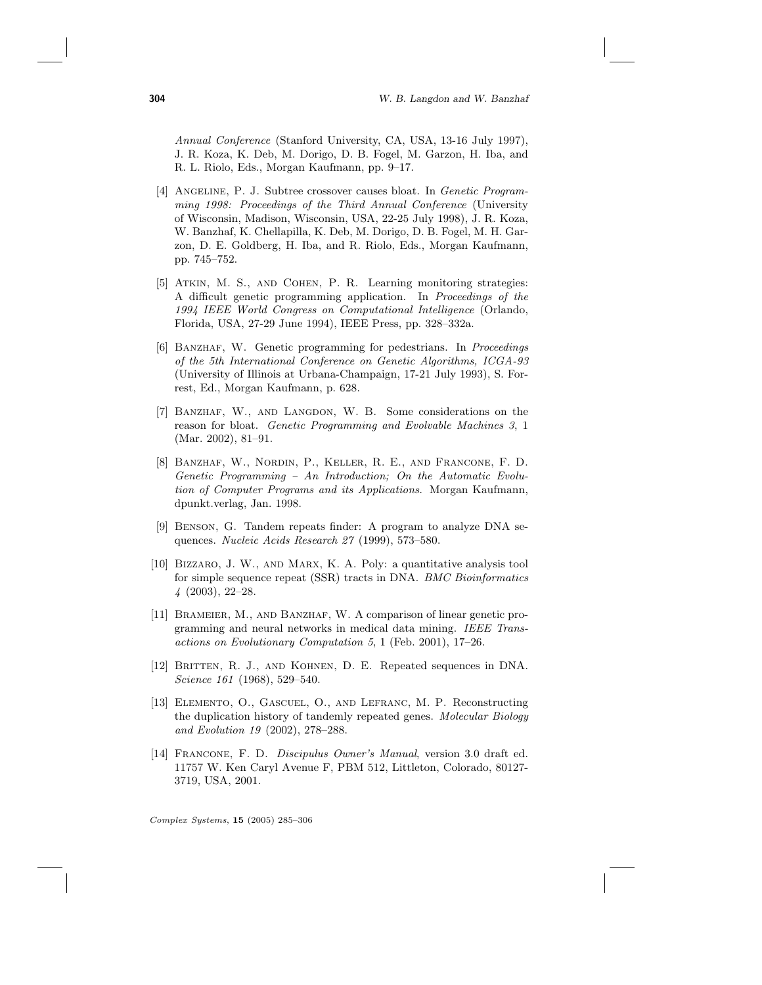Annual Conference (Stanford University, CA, USA, 13-16 July 1997), J. R. Koza, K. Deb, M. Dorigo, D. B. Fogel, M. Garzon, H. Iba, and R. L. Riolo, Eds., Morgan Kaufmann, pp. 9–17.

- [4] ANGELINE, P. J. Subtree crossover causes bloat. In Genetic Programming 1998: Proceedings of the Third Annual Conference (University of Wisconsin, Madison, Wisconsin, USA, 22-25 July 1998), J. R. Koza, W. Banzhaf, K. Chellapilla, K. Deb, M. Dorigo, D. B. Fogel, M. H. Garzon, D. E. Goldberg, H. Iba, and R. Riolo, Eds., Morgan Kaufmann, pp. 745–752.
- [5] Atkin, M. S., and Cohen, P. R. Learning monitoring strategies: A difficult genetic programming application. In Proceedings of the 1994 IEEE World Congress on Computational Intelligence (Orlando, Florida, USA, 27-29 June 1994), IEEE Press, pp. 328–332a.
- [6] BANZHAF, W. Genetic programming for pedestrians. In Proceedings of the 5th International Conference on Genetic Algorithms, ICGA-93 (University of Illinois at Urbana-Champaign, 17-21 July 1993), S. Forrest, Ed., Morgan Kaufmann, p. 628.
- [7] BANZHAF, W., AND LANGDON, W. B. Some considerations on the reason for bloat. Genetic Programming and Evolvable Machines 3, 1 (Mar. 2002), 81–91.
- [8] Banzhaf, W., Nordin, P., Keller, R. E., and Francone, F. D. Genetic Programming – An Introduction; On the Automatic Evolution of Computer Programs and its Applications. Morgan Kaufmann, dpunkt.verlag, Jan. 1998.
- [9] Benson, G. Tandem repeats finder: A program to analyze DNA sequences. Nucleic Acids Research 27 (1999), 573–580.
- [10] Bizzaro, J. W., and Marx, K. A. Poly: a quantitative analysis tool for simple sequence repeat (SSR) tracts in DNA. BMC Bioinformatics 4 (2003), 22–28.
- [11] BRAMEIER, M., AND BANZHAF, W. A comparison of linear genetic programming and neural networks in medical data mining. IEEE Transactions on Evolutionary Computation 5, 1 (Feb. 2001), 17–26.
- [12] Britten, R. J., and Kohnen, D. E. Repeated sequences in DNA. Science 161 (1968), 529-540.
- [13] Elemento, O., Gascuel, O., and Lefranc, M. P. Reconstructing the duplication history of tandemly repeated genes. Molecular Biology and Evolution 19 (2002), 278–288.
- [14] Francone, F. D. Discipulus Owner's Manual, version 3.0 draft ed. 11757 W. Ken Caryl Avenue F, PBM 512, Littleton, Colorado, 80127- 3719, USA, 2001.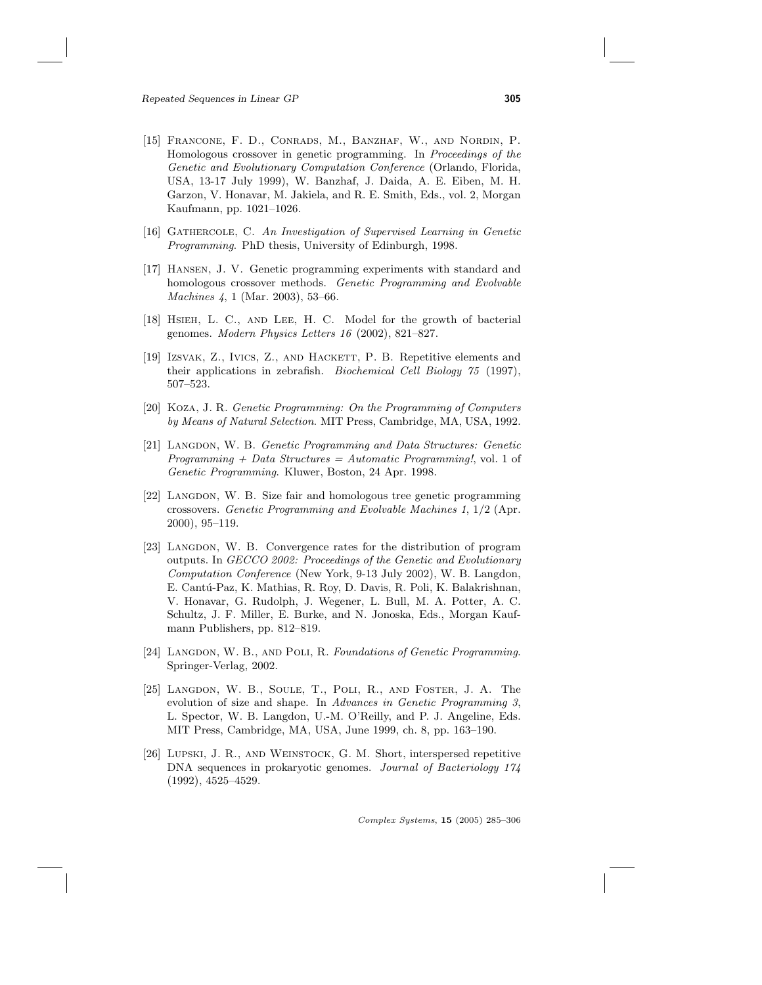- [15] Francone, F. D., Conrads, M., Banzhaf, W., and Nordin, P. Homologous crossover in genetic programming. In Proceedings of the Genetic and Evolutionary Computation Conference (Orlando, Florida, USA, 13-17 July 1999), W. Banzhaf, J. Daida, A. E. Eiben, M. H. Garzon, V. Honavar, M. Jakiela, and R. E. Smith, Eds., vol. 2, Morgan Kaufmann, pp. 1021–1026.
- [16] Gathercole, C. An Investigation of Supervised Learning in Genetic Programming. PhD thesis, University of Edinburgh, 1998.
- [17] Hansen, J. V. Genetic programming experiments with standard and homologous crossover methods. Genetic Programming and Evolvable Machines 4, 1 (Mar. 2003), 53–66.
- [18] HSIEH, L. C., AND LEE, H. C. Model for the growth of bacterial genomes. Modern Physics Letters 16 (2002), 821–827.
- [19] Izsvak, Z., Ivics, Z., and Hackert, P. B. Repetitive elements and their applications in zebrafish. Biochemical Cell Biology 75 (1997), 507–523.
- [20] Koza, J. R. Genetic Programming: On the Programming of Computers by Means of Natural Selection. MIT Press, Cambridge, MA, USA, 1992.
- [21] LANGDON, W. B. Genetic Programming and Data Structures: Genetic Programming  $+$  Data Structures = Automatic Programming!, vol. 1 of Genetic Programming. Kluwer, Boston, 24 Apr. 1998.
- [22] Langdon, W. B. Size fair and homologous tree genetic programming crossovers. Genetic Programming and Evolvable Machines 1, 1/2 (Apr. 2000), 95–119.
- [23] LANGDON, W. B. Convergence rates for the distribution of program outputs. In GECCO 2002: Proceedings of the Genetic and Evolutionary Computation Conference (New York, 9-13 July 2002), W. B. Langdon, E. Cantú-Paz, K. Mathias, R. Roy, D. Davis, R. Poli, K. Balakrishnan, V. Honavar, G. Rudolph, J. Wegener, L. Bull, M. A. Potter, A. C. Schultz, J. F. Miller, E. Burke, and N. Jonoska, Eds., Morgan Kaufmann Publishers, pp. 812–819.
- [24] LANGDON, W. B., AND POLI, R. Foundations of Genetic Programming. Springer-Verlag, 2002.
- [25] LANGDON, W. B., SOULE, T., POLI, R., AND FOSTER, J. A. The evolution of size and shape. In Advances in Genetic Programming 3, L. Spector, W. B. Langdon, U.-M. O'Reilly, and P. J. Angeline, Eds. MIT Press, Cambridge, MA, USA, June 1999, ch. 8, pp. 163–190.
- [26] Lupski, J. R., and Weinstock, G. M. Short, interspersed repetitive DNA sequences in prokaryotic genomes. Journal of Bacteriology 174 (1992), 4525–4529.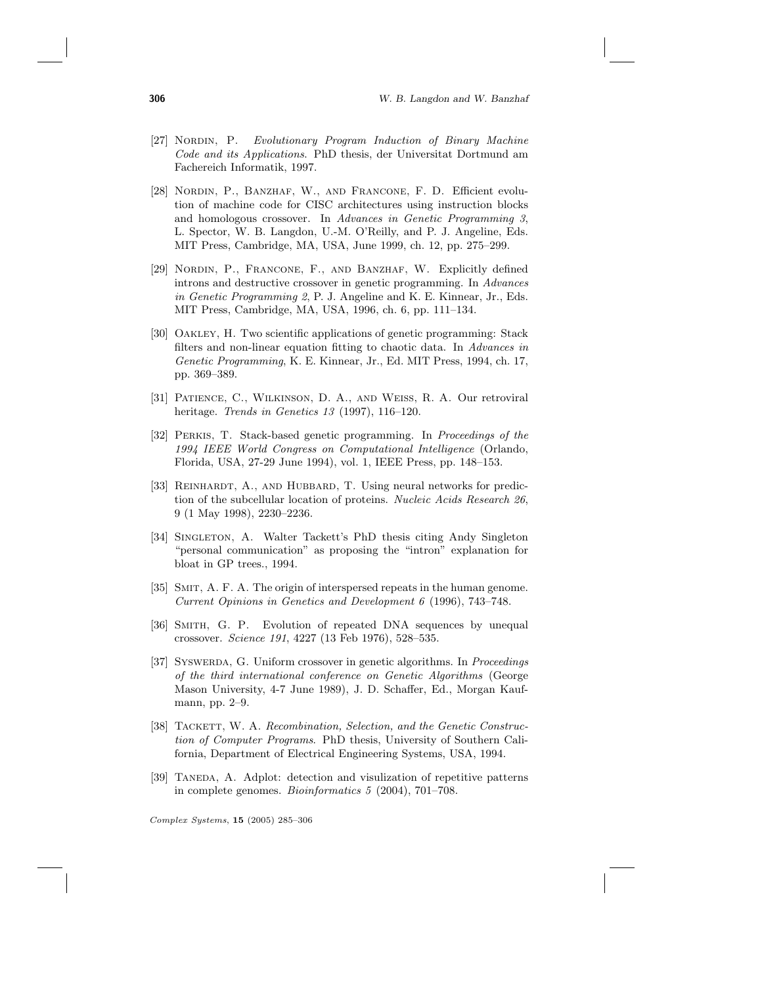- [27] Nordin, P. Evolutionary Program Induction of Binary Machine Code and its Applications. PhD thesis, der Universitat Dortmund am Fachereich Informatik, 1997.
- [28] NORDIN, P., BANZHAF, W., AND FRANCONE, F. D. Efficient evolution of machine code for CISC architectures using instruction blocks and homologous crossover. In Advances in Genetic Programming 3, L. Spector, W. B. Langdon, U.-M. O'Reilly, and P. J. Angeline, Eds. MIT Press, Cambridge, MA, USA, June 1999, ch. 12, pp. 275–299.
- [29] Nordin, P., Francone, F., and Banzhaf, W. Explicitly defined introns and destructive crossover in genetic programming. In Advances in Genetic Programming 2, P. J. Angeline and K. E. Kinnear, Jr., Eds. MIT Press, Cambridge, MA, USA, 1996, ch. 6, pp. 111–134.
- [30] Oakley, H. Two scientific applications of genetic programming: Stack filters and non-linear equation fitting to chaotic data. In Advances in Genetic Programming, K. E. Kinnear, Jr., Ed. MIT Press, 1994, ch. 17, pp. 369–389.
- [31] Patience, C., Wilkinson, D. A., and Weiss, R. A. Our retroviral heritage. Trends in Genetics 13 (1997), 116–120.
- [32] Perkis, T. Stack-based genetic programming. In Proceedings of the 1994 IEEE World Congress on Computational Intelligence (Orlando, Florida, USA, 27-29 June 1994), vol. 1, IEEE Press, pp. 148–153.
- [33] REINHARDT, A., AND HUBBARD, T. Using neural networks for prediction of the subcellular location of proteins. Nucleic Acids Research 26, 9 (1 May 1998), 2230–2236.
- [34] Singleton, A. Walter Tackett's PhD thesis citing Andy Singleton "personal communication" as proposing the "intron" explanation for bloat in GP trees., 1994.
- [35] Smit, A. F. A. The origin of interspersed repeats in the human genome. Current Opinions in Genetics and Development 6 (1996), 743–748.
- [36] Smith, G. P. Evolution of repeated DNA sequences by unequal crossover. Science 191, 4227 (13 Feb 1976), 528–535.
- [37] SYSWERDA, G. Uniform crossover in genetic algorithms. In Proceedings of the third international conference on Genetic Algorithms (George Mason University, 4-7 June 1989), J. D. Schaffer, Ed., Morgan Kaufmann, pp. 2–9.
- [38] TACKETT, W. A. Recombination, Selection, and the Genetic Construction of Computer Programs. PhD thesis, University of Southern California, Department of Electrical Engineering Systems, USA, 1994.
- [39] TANEDA, A. Adplot: detection and visulization of repetitive patterns in complete genomes. Bioinformatics 5 (2004), 701–708.